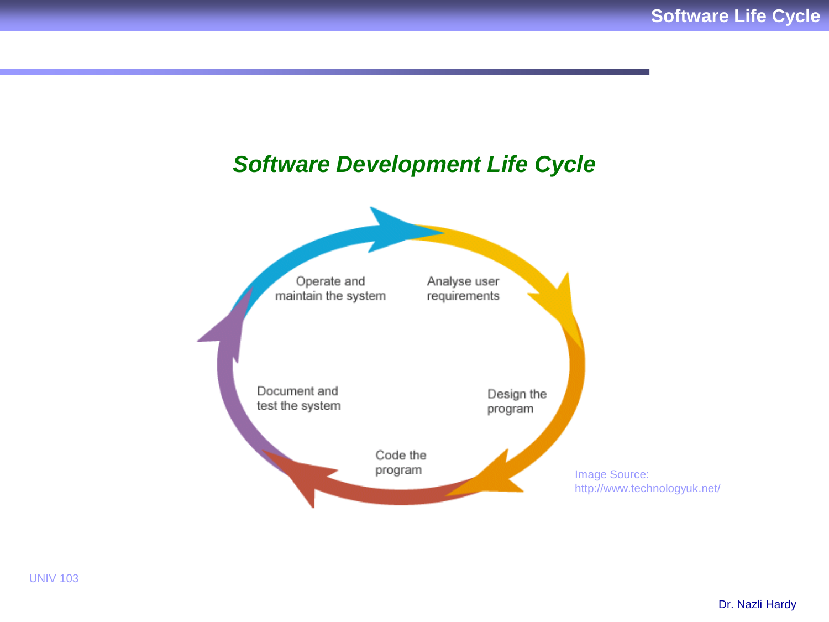# *Software Development Life Cycle*

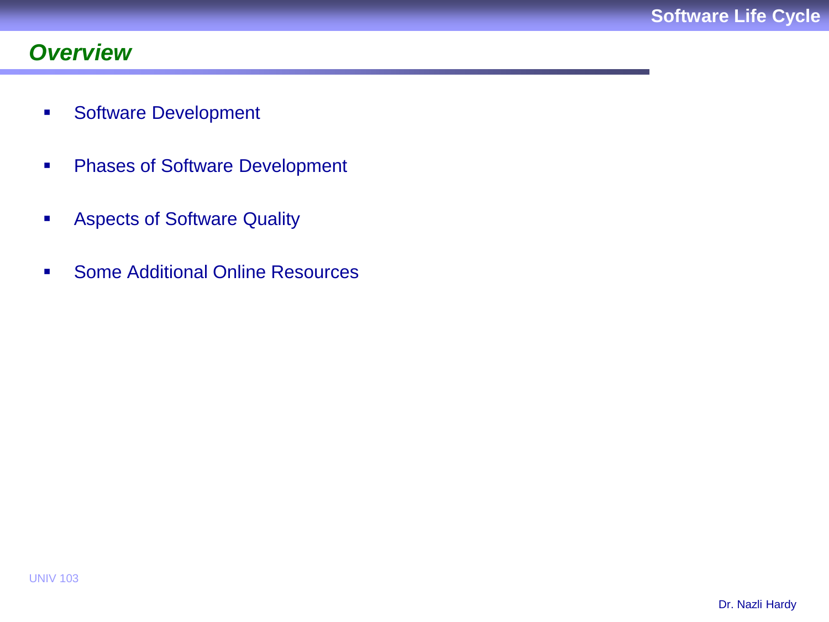# *Overview*

- **Software Development**
- **Phases of Software Development**
- **Aspects of Software Quality**
- **Some Additional Online Resources**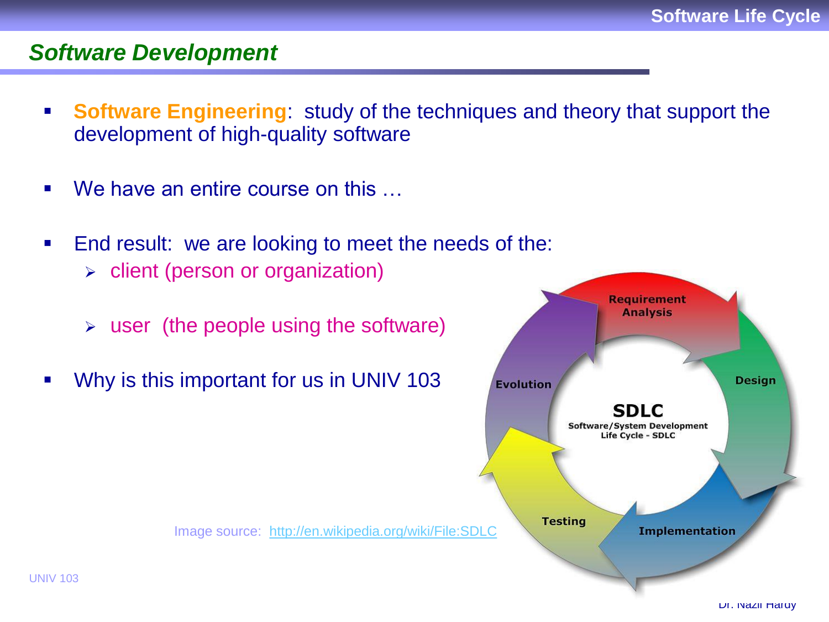#### *Software Development*

- **Software Engineering**: study of the techniques and theory that support the development of high-quality software
- We have an entire course on this ...
- **End result: we are looking to meet the needs of the:** 
	- $\triangleright$  client (person or organization)
	- $\triangleright$  user (the people using the software)
- Why is this important for us in UNIV 103

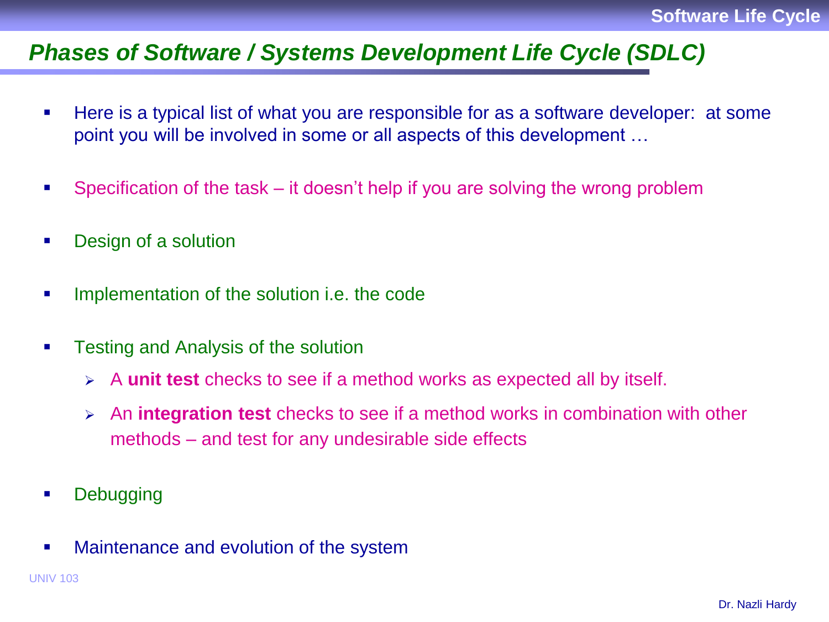### *Phases of Software / Systems Development Life Cycle (SDLC)*

- Here is a typical list of what you are responsible for as a software developer: at some point you will be involved in some or all aspects of this development …
- Specification of the task it doesn't help if you are solving the wrong problem
- **Design of a solution**
- Implementation of the solution i.e. the code
- **Testing and Analysis of the solution** 
	- A **unit test** checks to see if a method works as expected all by itself.
	- An **integration test** checks to see if a method works in combination with other methods – and test for any undesirable side effects
- **Debugging**
- Maintenance and evolution of the system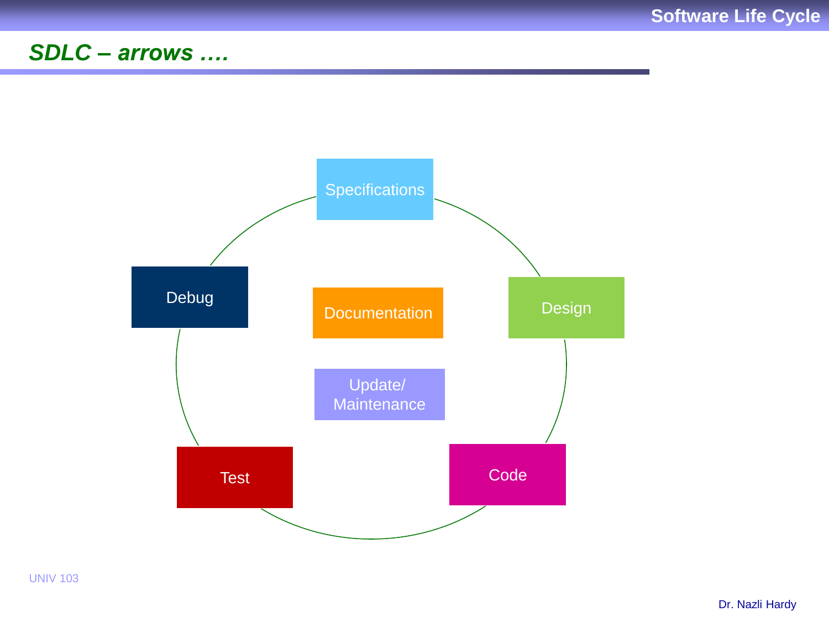# SDLC - arrows ....



**UNIV 103**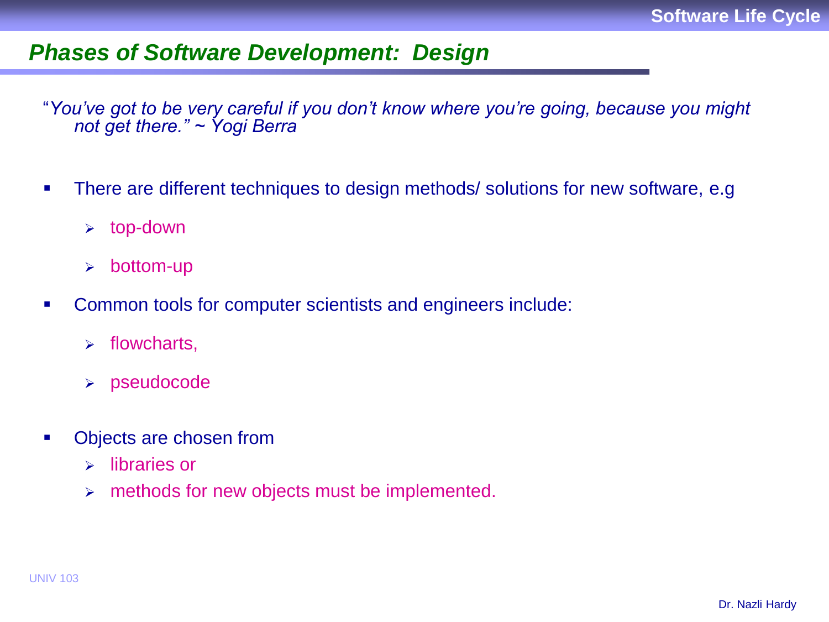### *Phases of Software Development: Design*

"*You've got to be very careful if you don't know where you're going, because you might not get there." ~ Yogi Berra*

- There are different techniques to design methods/ solutions for new software, e.g.
	- $\triangleright$  top-down
	- $\triangleright$  bottom-up
- Common tools for computer scientists and engineers include:
	- $\triangleright$  flowcharts,
	- pseudocode
- Objects are chosen from
	- $\triangleright$  libraries or
	- $\triangleright$  methods for new objects must be implemented.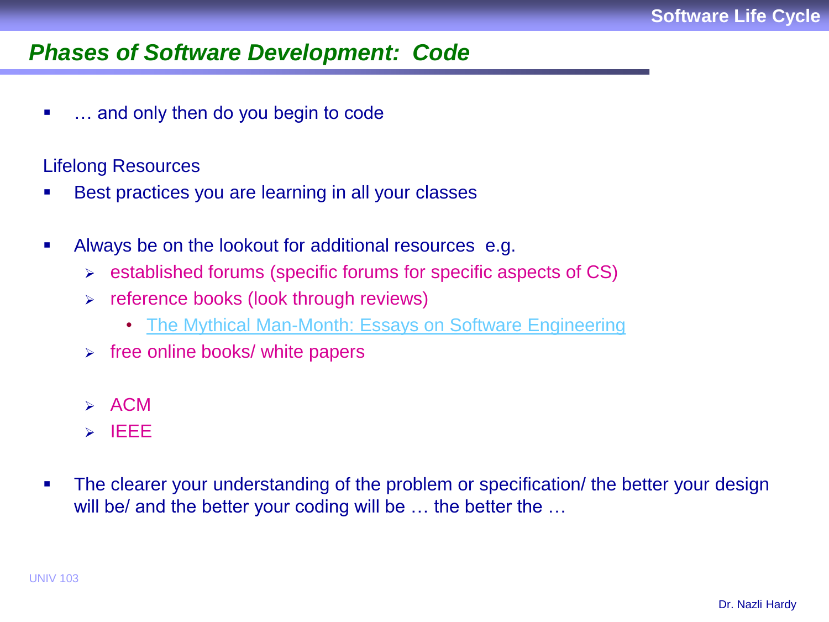### *Phases of Software Development: Code*

• ... and only then do you begin to code

#### Lifelong Resources

- Best practices you are learning in all your classes
- Always be on the lookout for additional resources e.g.
	- $\triangleright$  established forums (specific forums for specific aspects of CS)
	- $\triangleright$  reference books (look through reviews)
		- [The Mythical Man-Month: Essays on Software Engineering](http://www.amazon.com/Mythical-Man-Month-Software-Engineering-Anniversary/dp/0201835959)
	- $\triangleright$  free online books/ white papers
	- $\triangleright$  ACM
	- $>$  IEEE
- The clearer your understanding of the problem or specification/ the better your design will be/ and the better your coding will be ... the better the ...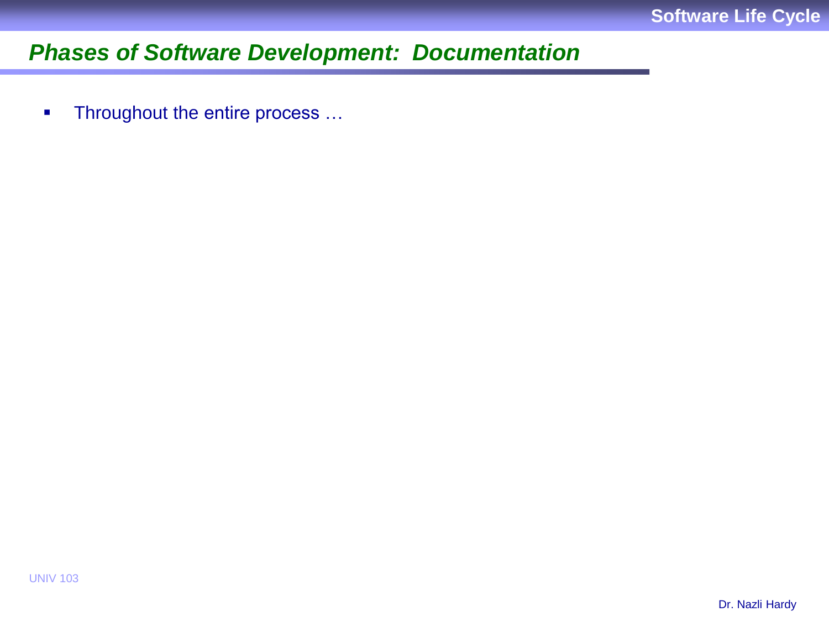# *Phases of Software Development: Documentation*

**Throughout the entire process ...**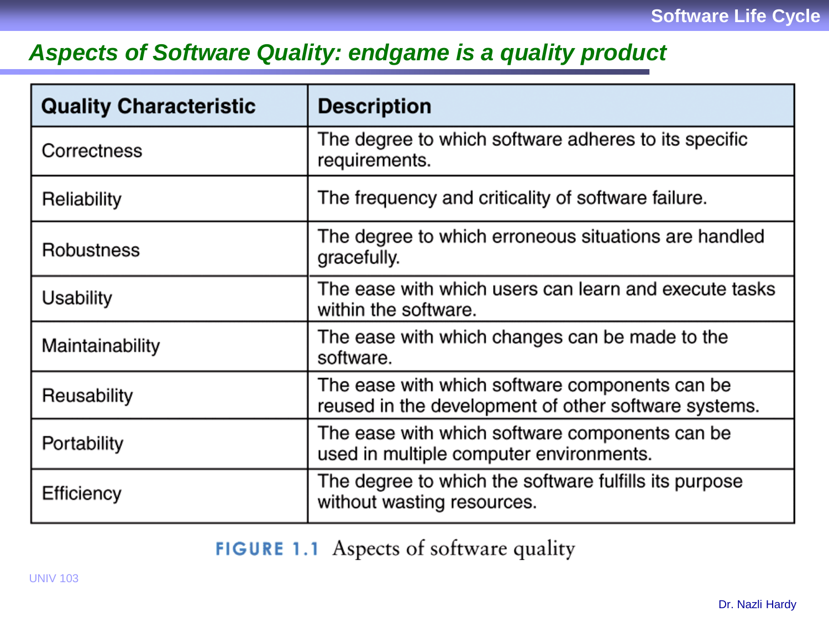# *Aspects of Software Quality: endgame is a quality product*

| <b>Quality Characteristic</b> | <b>Description</b>                                                                                     |
|-------------------------------|--------------------------------------------------------------------------------------------------------|
| Correctness                   | The degree to which software adheres to its specific<br>requirements.                                  |
| Reliability                   | The frequency and criticality of software failure.                                                     |
| <b>Robustness</b>             | The degree to which erroneous situations are handled<br>gracefully.                                    |
| Usability                     | The ease with which users can learn and execute tasks<br>within the software.                          |
| Maintainability               | The ease with which changes can be made to the<br>software.                                            |
| Reusability                   | The ease with which software components can be<br>reused in the development of other software systems. |
| Portability                   | The ease with which software components can be<br>used in multiple computer environments.              |
| Efficiency                    | The degree to which the software fulfills its purpose<br>without wasting resources.                    |

FIGURE 1.1 Aspects of software quality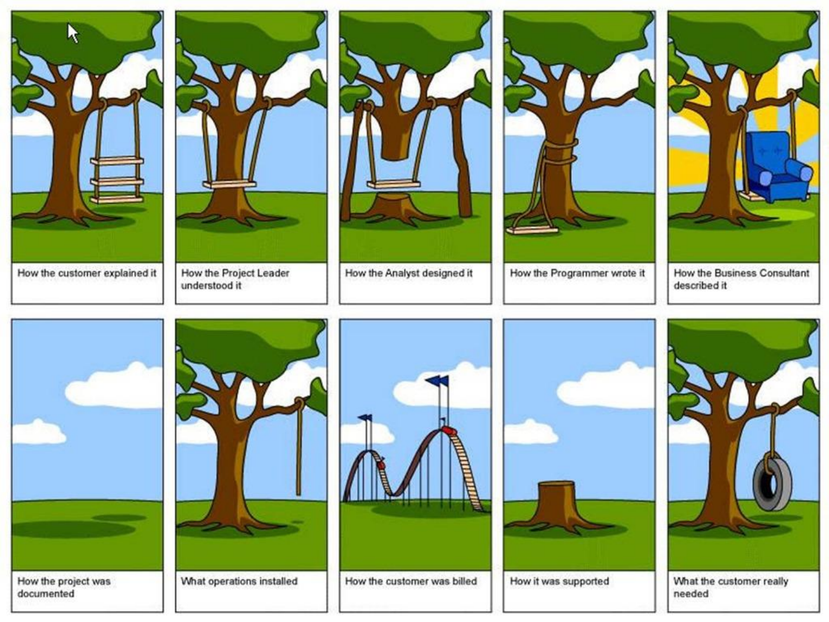

How the customer explained it



How the Project Leader understood it



How the Analyst designed it



How the Programmer wrote it



How the Business Consultant described it





What operations installed



How the customer was billed



How it was supported



What the customer really needed